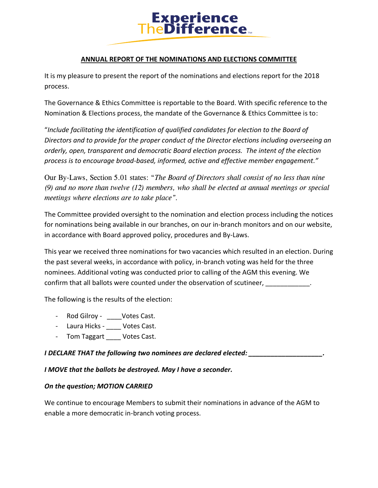

## **ANNUAL REPORT OF THE NOMINATIONS AND ELECTIONS COMMITTEE**

It is my pleasure to present the report of the nominations and elections report for the 2018 process.

The Governance & Ethics Committee is reportable to the Board. With specific reference to the Nomination & Elections process, the mandate of the Governance & Ethics Committee is to:

"*Include facilitating the identification of qualified candidates for election to the Board of Directors and to provide for the proper conduct of the Director elections including overseeing an orderly, open, transparent and democratic Board election process. The intent of the election process is to encourage broad-based, informed, active and effective member engagement."*

Our By-Laws, Section 5.01 states: "*The Board of Directors shall consist of no less than nine (9) and no more than twelve (12) members, who shall be elected at annual meetings or special meetings where elections are to take place".* 

The Committee provided oversight to the nomination and election process including the notices for nominations being available in our branches, on our in-branch monitors and on our website, in accordance with Board approved policy, procedures and By-Laws.

This year we received three nominations for two vacancies which resulted in an election. During the past several weeks, in accordance with policy, in-branch voting was held for the three nominees. Additional voting was conducted prior to calling of the AGM this evening. We confirm that all ballots were counted under the observation of scutineer,

The following is the results of the election:

- Rod Gilroy \_\_\_\_Votes Cast.
- Laura Hicks \_\_\_\_ Votes Cast.
- Tom Taggart Votes Cast.

*I* DECLARE THAT the following two nominees are declared elected:

*I MOVE that the ballots be destroyed. May I have a seconder.*

## *On the question; MOTION CARRIED*

We continue to encourage Members to submit their nominations in advance of the AGM to enable a more democratic in-branch voting process.